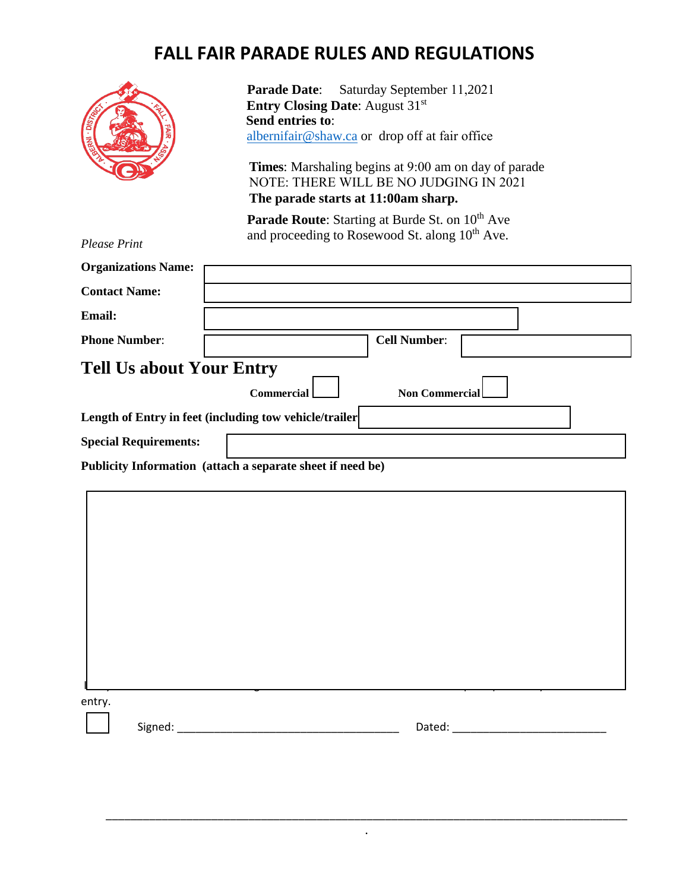## **FALL FAIR PARADE RULES AND REGULATIONS**

|                                                                               | <b>Parade Date:</b><br>Saturday September 11,2021<br><b>Entry Closing Date:</b> August 31 <sup>st</sup><br>Send entries to:<br>albernifair@shaw.ca or drop off at fair office<br><b>Times:</b> Marshaling begins at 9:00 am on day of parade<br>NOTE: THERE WILL BE NO JUDGING IN 2021<br>The parade starts at 11:00am sharp. |
|-------------------------------------------------------------------------------|-------------------------------------------------------------------------------------------------------------------------------------------------------------------------------------------------------------------------------------------------------------------------------------------------------------------------------|
| <b>Please Print</b>                                                           | <b>Parade Route:</b> Starting at Burde St. on 10 <sup>th</sup> Ave<br>and proceeding to Rosewood St. along 10 <sup>th</sup> Ave.                                                                                                                                                                                              |
| <b>Organizations Name:</b>                                                    |                                                                                                                                                                                                                                                                                                                               |
| <b>Contact Name:</b>                                                          |                                                                                                                                                                                                                                                                                                                               |
| <b>Email:</b>                                                                 |                                                                                                                                                                                                                                                                                                                               |
| <b>Phone Number:</b>                                                          | <b>Cell Number:</b>                                                                                                                                                                                                                                                                                                           |
| <b>Tell Us about Your Entry</b><br><b>Non Commercial</b><br><b>Commercial</b> |                                                                                                                                                                                                                                                                                                                               |
| Length of Entry in feet (including tow vehicle/trailer                        |                                                                                                                                                                                                                                                                                                                               |
| <b>Special Requirements:</b>                                                  |                                                                                                                                                                                                                                                                                                                               |
| Publicity Information (attach a separate sheet if need be)                    |                                                                                                                                                                                                                                                                                                                               |
|                                                                               |                                                                                                                                                                                                                                                                                                                               |
|                                                                               |                                                                                                                                                                                                                                                                                                                               |
| entry.                                                                        |                                                                                                                                                                                                                                                                                                                               |

\_\_\_\_\_\_\_\_\_\_\_\_\_\_\_\_\_\_\_\_\_\_\_\_\_\_\_\_\_\_\_\_\_\_\_\_\_\_\_\_\_\_\_\_\_\_\_\_\_\_\_\_\_\_\_\_\_\_\_\_\_\_\_\_\_\_\_\_\_\_\_\_\_\_\_\_\_\_\_\_\_\_\_\_ .